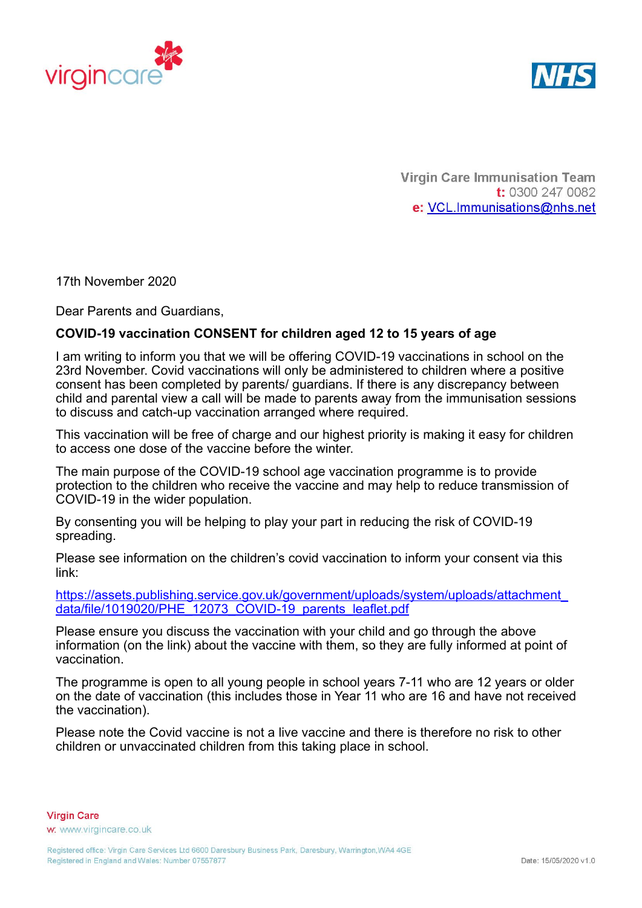



**Virgin Care Immunisation Team** t: 0300 247 0082 e: VCL.Immunisations@nhs.net

17th November 2020

Dear Parents and Guardians,

## **COVID-19 vaccination CONSENT for children aged 12 to 15 years of age**

I am writing to inform you that we will be offering COVID-19 vaccinations in school on the 23rd November. Covid vaccinations will only be administered to children where a positive consent has been completed by parents/ guardians. If there is any discrepancy between child and parental view a call will be made to parents away from the immunisation sessions to discuss and catch-up vaccination arranged where required.

This vaccination will be free of charge and our highest priority is making it easy for children to access one dose of the vaccine before the winter.

The main purpose of the COVID-19 school age vaccination programme is to provide protection to the children who receive the vaccine and may help to reduce transmission of COVID-19 in the wider population.

By consenting you will be helping to play your part in reducing the risk of COVID-19 spreading.

Please see information on the children's covid vaccination to inform your consent via this link:

[https://assets.publishing.service.gov.uk/government/uploads/system/uploads/attachment\\_](https://assets.publishing.service.gov.uk/government/uploads/system/uploads/attachment_data/file/1020602/PHE_12073_COVID-19_parents_leaflet.pdf) [data/file/1019020/PHE\\_12073\\_COVID-19\\_parents\\_leaflet.pdf](https://assets.publishing.service.gov.uk/government/uploads/system/uploads/attachment_data/file/1020602/PHE_12073_COVID-19_parents_leaflet.pdf)

Please ensure you discuss the vaccination with your child and go through the above information (on the link) about the vaccine with them, so they are fully informed at point of vaccination.

The programme is open to all young people in school years 7-11 who are 12 years or older on the date of vaccination (this includes those in Year 11 who are 16 and have not received the vaccination).

Please note the Covid vaccine is not a live vaccine and there is therefore no risk to other children or unvaccinated children from this taking place in school.

**Virgin Care** w. www.virgincare.co.uk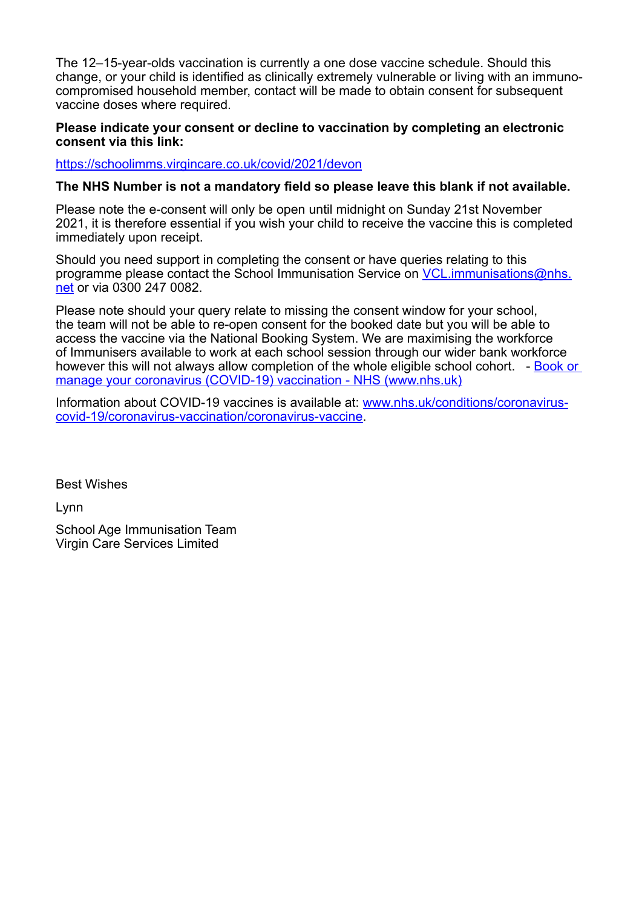The 12–15-year-olds vaccination is currently a one dose vaccine schedule. Should this change, or your child is identified as clinically extremely vulnerable or living with an immunocompromised household member, contact will be made to obtain consent for subsequent vaccine doses where required.

## **Please indicate your consent or decline to vaccination by completing an electronic consent via this link:**

<https://schoolimms.virgincare.co.uk/covid/2021/devon>

## **The NHS Number is not a mandatory field so please leave this blank if not available.**

Please note the e-consent will only be open until midnight on Sunday 21st November 2021, it is therefore essential if you wish your child to receive the vaccine this is completed immediately upon receipt.

Should you need support in completing the consent or have queries relating to this programme please contact the School Immunisation Service on *[VCL.immunisations@nhs.](mailto:VCL.immunisations%40nhs.net?subject=)* [net](mailto:VCL.immunisations%40nhs.net?subject=) or via 0300 247 0082.

Please note should your query relate to missing the consent window for your school, the team will not be able to re-open consent for the booked date but you will be able to access the vaccine via the National Booking System. We are maximising the workforce of Immunisers available to work at each school session through our wider bank workforce however this will not always allow completion of the whole eligible school cohort. - [Book or](https://www.nhs.uk/conditions/coronavirus-covid-19/coronavirus-vaccination/book-coronavirus-vaccination/)  [manage your coronavirus \(COVID-19\) vaccination - NHS \(www.nhs.uk\)](https://www.nhs.uk/conditions/coronavirus-covid-19/coronavirus-vaccination/book-coronavirus-vaccination/)

Information about COVID-19 vaccines is available at: [www.nhs.uk/conditions/coronavirus](https://www.nhs.uk/conditions/coronavirus-covid-19/coronavirus-vaccination/coronavirus-vaccine/)[covid-19/coronavirus-vaccination/coronavirus-vaccine](https://www.nhs.uk/conditions/coronavirus-covid-19/coronavirus-vaccination/coronavirus-vaccine/).

Best Wishes

Lynn

School Age Immunisation Team Virgin Care Services Limited